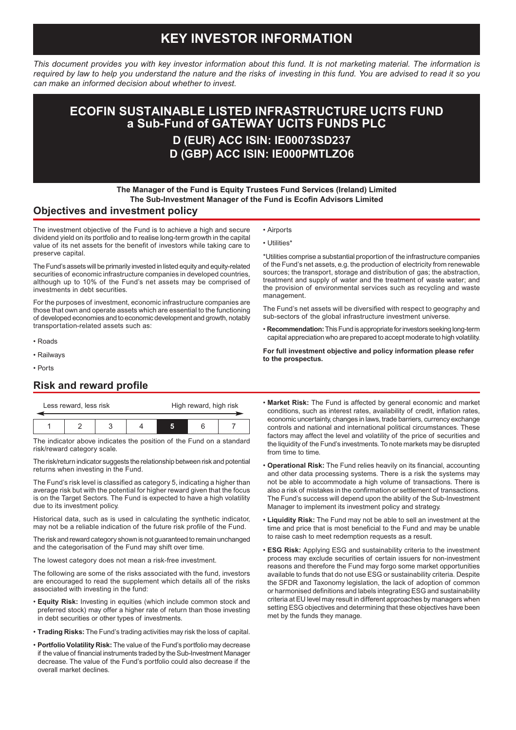# **KEY INVESTOR INFORMATION**

*This document provides you with key investor information about this fund. It is not marketing material. The information is required by law to help you understand the nature and the risks of investing in this fund. You are advised to read it so you can make an informed decision about whether to invest.*

# **D (EUR) ACC ISIN: IE00073SD237 ECOFIN SUSTAINABLE LISTED INFRASTRUCTURE UCITS FUND a Sub-Fund of GATEWAY UCITS FUNDS PLC**

**D (GBP) ACC ISIN: IE000PMTLZO6**

• Airports • Utilities\*

### **The Manager of the Fund is Equity Trustees Fund Services (Ireland) Limited The Sub-Investment Manager of the Fund is Ecofin Advisors Limited**

#### **Objectives and investment policy**

The investment objective of the Fund is to achieve a high and secure dividend yield on its portfolio and to realise long-term growth in the capital value of its net assets for the benefit of investors while taking care to preserve capital.

The Fund's assets will be primarily invested in listed equity and equity-related securities of economic infrastructure companies in developed countries, although up to 10% of the Fund's net assets may be comprised of investments in debt securities.

For the purposes of investment, economic infrastructure companies are those that own and operate assets which are essential to the functioning of developed economies and to economic development and growth, notably transportation-related assets such as:

- Roads
- Railways
- Ports

### **Risk and reward profile**

| Less reward, less risk |  |  |  | High reward, high risk |  |  |
|------------------------|--|--|--|------------------------|--|--|
|                        |  |  |  |                        |  |  |
|                        |  |  |  |                        |  |  |

The indicator above indicates the position of the Fund on a standard risk/reward category scale.

The risk/return indicator suggests the relationship between risk and potential returns when investing in the Fund.

The Fund's risk level is classified as category 5, indicating a higher than average risk but with the potential for higher reward given that the focus is on the Target Sectors. The Fund is expected to have a high volatility due to its investment policy.

Historical data, such as is used in calculating the synthetic indicator, may not be a reliable indication of the future risk profile of the Fund.

The risk and reward category shown is not guaranteed to remain unchanged and the categorisation of the Fund may shift over time.

The lowest category does not mean a risk-free investment.

The following are some of the risks associated with the fund, investors are encouraged to read the supplement which details all of the risks associated with investing in the fund:

- **Equity Risk:** Investing in equities (which include common stock and preferred stock) may offer a higher rate of return than those investing in debt securities or other types of investments.
- **Trading Risks:** The Fund's trading activities may risk the loss of capital.
- **Portfolio Volatility Risk:** The value of the Fund's portfolio may decrease if the value of financial instruments traded by the Sub-Investment Manager decrease. The value of the Fund's portfolio could also decrease if the overall market declines.

\*Utilities comprise a substantial proportion of the infrastructure companies of the Fund's net assets, e.g. the production of electricity from renewable sources; the transport, storage and distribution of gas; the abstraction, treatment and supply of water and the treatment of waste water; and the provision of environmental services such as recycling and waste management.

The Fund's net assets will be diversified with respect to geography and sub-sectors of the global infrastructure investment universe.

• **Recommendation:** This Fund is appropriate for investors seeking long-term capital appreciation who are prepared to accept moderate to high volatility.

**For full investment objective and policy information please refer to the prospectus.**

- **Market Risk:** The Fund is affected by general economic and market conditions, such as interest rates, availability of credit, inflation rates, economic uncertainty, changes in laws, trade barriers, currency exchange controls and national and international political circumstances. These factors may affect the level and volatility of the price of securities and the liquidity of the Fund's investments. To note markets may be disrupted from time to time.
- **Operational Risk:** The Fund relies heavily on its financial, accounting and other data processing systems. There is a risk the systems may not be able to accommodate a high volume of transactions. There is also a risk of mistakes in the confirmation or settlement of transactions. The Fund's success will depend upon the ability of the Sub-Investment Manager to implement its investment policy and strategy.
- **Liquidity Risk:** The Fund may not be able to sell an investment at the time and price that is most beneficial to the Fund and may be unable to raise cash to meet redemption requests as a result.
- **ESG Risk:** Applying ESG and sustainability criteria to the investment process may exclude securities of certain issuers for non-investment reasons and therefore the Fund may forgo some market opportunities available to funds that do not use ESG or sustainability criteria. Despite the SFDR and Taxonomy legislation, the lack of adoption of common or harmonised definitions and labels integrating ESG and sustainability criteria at EU level may result in different approaches by managers when setting ESG objectives and determining that these objectives have been met by the funds they manage.